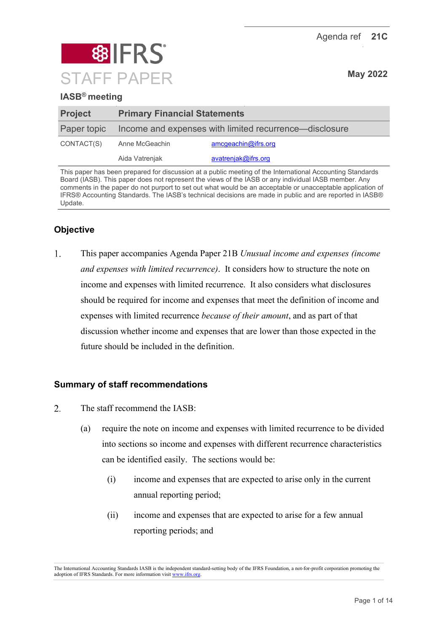Agenda ref **21C**



## **IASB® meeting**

| <b>Project</b> | <b>Primary Financial Statements</b>                    |                     |  |  |
|----------------|--------------------------------------------------------|---------------------|--|--|
| Paper topic    | Income and expenses with limited recurrence—disclosure |                     |  |  |
| CONTACT(S)     | Anne McGeachin                                         | amcgeachin@ifrs.org |  |  |
|                | Aida Vatrenjak                                         | avatrenjak@ifrs.org |  |  |

This paper has been prepared for discussion at a public meeting of the International Accounting Standards Board (IASB). This paper does not represent the views of the IASB or any individual IASB member. Any comments in the paper do not purport to set out what would be an acceptable or unacceptable application of IFRS® Accounting Standards. The IASB's technical decisions are made in public and are reported in IASB® Update.

# **Objective**

 $\mathbf{1}$ . This paper accompanies Agenda Paper 21B *Unusual income and expenses (income and expenses with limited recurrence)*. It considers how to structure the note on income and expenses with limited recurrence. It also considers what disclosures should be required for income and expenses that meet the definition of income and expenses with limited recurrence *because of their amount*, and as part of that discussion whether income and expenses that are lower than those expected in the future should be included in the definition.

### **Summary of staff recommendations**

- $\overline{2}$ . The staff recommend the IASB:
	- (a) require the note on income and expenses with limited recurrence to be divided into sections so income and expenses with different recurrence characteristics can be identified easily. The sections would be:
		- (i) income and expenses that are expected to arise only in the current annual reporting period;
		- (ii) income and expenses that are expected to arise for a few annual reporting periods; and

The International Accounting Standards IASB is the independent standard-setting body of the IFRS Foundation, a not-for-profit corporation promoting the adoption of IFRS Standards. For more information visi[t www.ifrs.org.](http://www.ifrs.org/)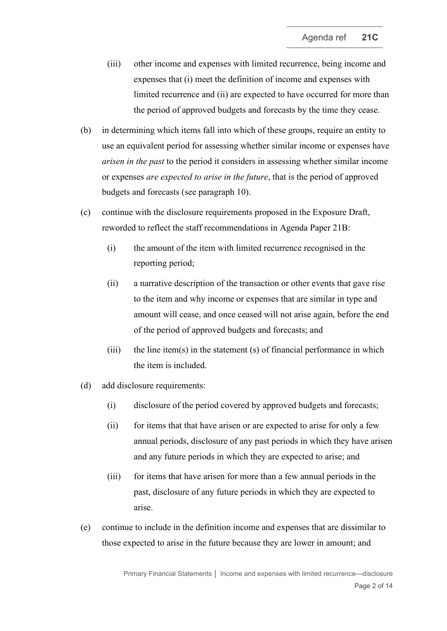- (iii) other income and expenses with limited recurrence, being income and expenses that (i) meet the definition of income and expenses with limited recurrence and (ii) are expected to have occurred for more than the period of approved budgets and forecasts by the time they cease.
- (b) in determining which items fall into which of these groups, require an entity to use an equivalent period for assessing whether similar income or expenses have *arisen in the past* to the period it considers in assessing whether similar income or expenses *are expected to arise in the future*, that is the period of approved budgets and forecasts (see paragraph [10\)](#page-4-0).
- (c) continue with the disclosure requirements proposed in the Exposure Draft, reworded to reflect the staff recommendations in Agenda Paper 21B:
	- (i) the amount of the item with limited recurrence recognised in the reporting period;
	- (ii) a narrative description of the transaction or other events that gave rise to the item and why income or expenses that are similar in type and amount will cease, and once ceased will not arise again, before the end of the period of approved budgets and forecasts; and
	- $(iii)$  the line item(s) in the statement (s) of financial performance in which the item is included.
- (d) add disclosure requirements:
	- (i) disclosure of the period covered by approved budgets and forecasts;
	- (ii) for items that that have arisen or are expected to arise for only a few annual periods, disclosure of any past periods in which they have arisen and any future periods in which they are expected to arise; and
	- (iii) for items that have arisen for more than a few annual periods in the past, disclosure of any future periods in which they are expected to arise.
- (e) continue to include in the definition income and expenses that are dissimilar to those expected to arise in the future because they are lower in amount; and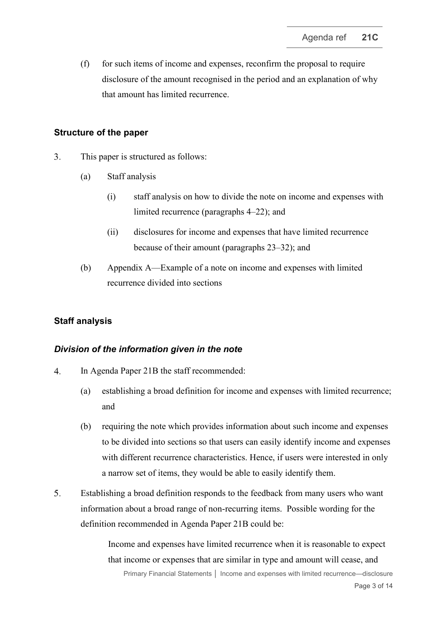$(f)$  for such items of income and expenses, reconfirm the proposal to require disclosure of the amount recognised in the period and an explanation of why that amount has limited recurrence.

#### **Structure of the paper**

- 3. This paper is structured as follows:
	- (a) Staff analysis
		- (i) staff analysis on how to divide the note on income and expenses with limited recurrence (paragraphs [4](#page-2-0)[–22\)](#page-6-0); and
		- (ii) disclosures for income and expenses that have limited recurrence because of their amount (paragraphs [23–](#page-8-0)[32\)](#page-10-0); and
	- (b) Appendix A—Example of a note on income and expenses with limited recurrence divided into sections

#### **Staff analysis**

#### *Division of the information given in the note*

- <span id="page-2-0"></span>4. In Agenda Paper 21B the staff recommended:
	- (a) establishing a broad definition for income and expenses with limited recurrence; and
	- (b) requiring the note which provides information about such income and expenses to be divided into sections so that users can easily identify income and expenses with different recurrence characteristics. Hence, if users were interested in only a narrow set of items, they would be able to easily identify them.
- 5. Establishing a broad definition responds to the feedback from many users who want information about a broad range of non-recurring items. Possible wording for the definition recommended in Agenda Paper 21B could be:

Income and expenses have limited recurrence when it is reasonable to expect that income or expenses that are similar in type and amount will cease, and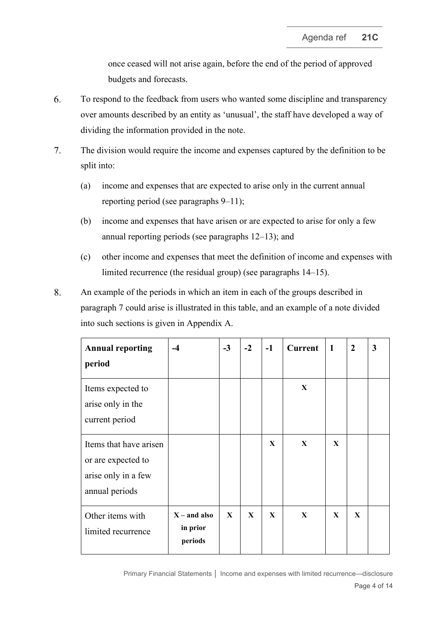once ceased will not arise again, before the end of the period of approved budgets and forecasts.

- 6. To respond to the feedback from users who wanted some discipline and transparency over amounts described by an entity as 'unusual', the staff have developed a way of dividing the information provided in the note.
- <span id="page-3-0"></span>7. The division would require the income and expenses captured by the definition to be split into:
	- (a) income and expenses that are expected to arise only in the current annual reporting period (see paragraphs [9–](#page-4-1)[11\)](#page-4-2);
	- (b) income and expenses that have arisen or are expected to arise for only a few annual reporting periods (see paragraphs [12](#page-4-3)[–13\)](#page-4-4); and
	- (c) other income and expenses that meet the definition of income and expenses with limited recurrence (the residual group) (see paragraphs [14–](#page-5-0)[15\)](#page-5-1).
- 8. An example of the periods in which an item in each of the groups described in paragraph [7](#page-3-0) could arise is illustrated in this table, and an example of a note divided into such sections is given in Appendix A.

| <b>Annual reporting</b><br>period                                                     | $-4$                                  | $-3$         | $-2$         | $-1$         | <b>Current</b> | $\mathbf{1}$ | $\overline{2}$ | $\mathbf{3}$ |
|---------------------------------------------------------------------------------------|---------------------------------------|--------------|--------------|--------------|----------------|--------------|----------------|--------------|
| Items expected to<br>arise only in the<br>current period                              |                                       |              |              |              | X              |              |                |              |
| Items that have arisen<br>or are expected to<br>arise only in a few<br>annual periods |                                       |              |              | X            | $\mathbf{X}$   | $\mathbf{X}$ |                |              |
| Other items with<br>limited recurrence                                                | $X$ – and also<br>in prior<br>periods | $\mathbf{X}$ | $\mathbf{X}$ | $\mathbf{X}$ | X              | X            | $\mathbf{X}$   |              |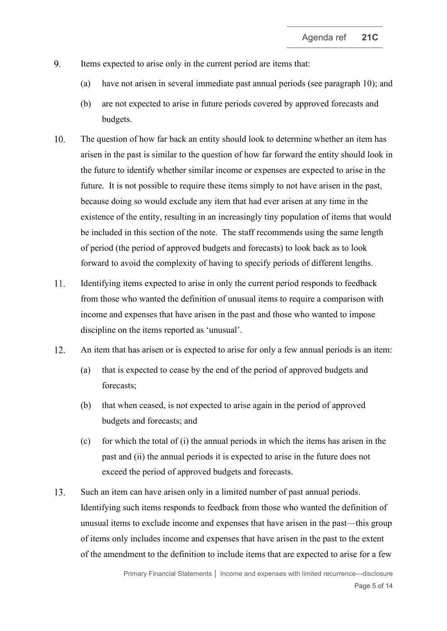- <span id="page-4-1"></span>9. Items expected to arise only in the current period are items that:
	- (a) have not arisen in several immediate past annual periods (see paragraph [10\)](#page-4-0); and
	- (b) are not expected to arise in future periods covered by approved forecasts and budgets.
- <span id="page-4-0"></span> $10.$ The question of how far back an entity should look to determine whether an item has arisen in the past is similar to the question of how far forward the entity should look in the future to identify whether similar income or expenses are expected to arise in the future. It is not possible to require these items simply to not have arisen in the past, because doing so would exclude any item that had ever arisen at any time in the existence of the entity, resulting in an increasingly tiny population of items that would be included in this section of the note. The staff recommends using the same length of period (the period of approved budgets and forecasts) to look back as to look forward to avoid the complexity of having to specify periods of different lengths.
- <span id="page-4-2"></span>Identifying items expected to arise in only the current period responds to feedback  $11.$ from those who wanted the definition of unusual items to require a comparison with income and expenses that have arisen in the past and those who wanted to impose discipline on the items reported as 'unusual'.
- <span id="page-4-3"></span>12. An item that has arisen or is expected to arise for only a few annual periods is an item:
	- (a) that is expected to cease by the end of the period of approved budgets and forecasts;
	- (b) that when ceased, is not expected to arise again in the period of approved budgets and forecasts; and
	- (c) for which the total of (i) the annual periods in which the items has arisen in the past and (ii) the annual periods it is expected to arise in the future does not exceed the period of approved budgets and forecasts.
- <span id="page-4-4"></span>13. Such an item can have arisen only in a limited number of past annual periods. Identifying such items responds to feedback from those who wanted the definition of unusual items to exclude income and expenses that have arisen in the past—this group of items only includes income and expenses that have arisen in the past to the extent of the amendment to the definition to include items that are expected to arise for a few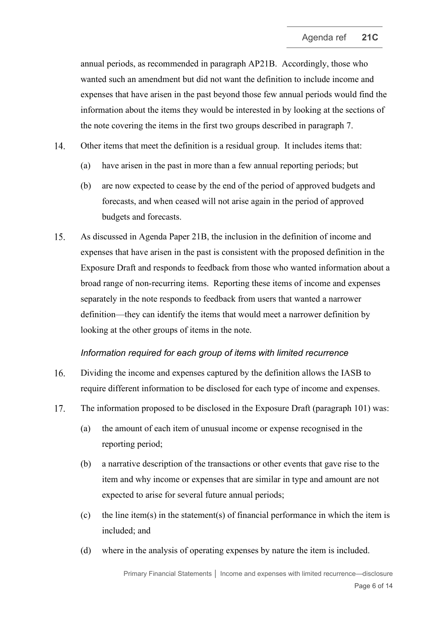annual periods, as recommended in paragraph AP21B. Accordingly, those who wanted such an amendment but did not want the definition to include income and expenses that have arisen in the past beyond those few annual periods would find the information about the items they would be interested in by looking at the sections of the note covering the items in the first two groups described in paragraph [7.](#page-3-0)

- <span id="page-5-0"></span>14. Other items that meet the definition is a residual group. It includes items that:
	- (a) have arisen in the past in more than a few annual reporting periods; but
	- (b) are now expected to cease by the end of the period of approved budgets and forecasts, and when ceased will not arise again in the period of approved budgets and forecasts.
- <span id="page-5-1"></span>15. As discussed in Agenda Paper 21B, the inclusion in the definition of income and expenses that have arisen in the past is consistent with the proposed definition in the Exposure Draft and responds to feedback from those who wanted information about a broad range of non-recurring items. Reporting these items of income and expenses separately in the note responds to feedback from users that wanted a narrower definition—they can identify the items that would meet a narrower definition by looking at the other groups of items in the note.

#### *Information required for each group of items with limited recurrence*

- 16. Dividing the income and expenses captured by the definition allows the IASB to require different information to be disclosed for each type of income and expenses.
- <span id="page-5-2"></span> $17.$ The information proposed to be disclosed in the Exposure Draft (paragraph 101) was:
	- (a) the amount of each item of unusual income or expense recognised in the reporting period;
	- (b) a narrative description of the transactions or other events that gave rise to the item and why income or expenses that are similar in type and amount are not expected to arise for several future annual periods;
	- (c) the line item(s) in the statement(s) of financial performance in which the item is included; and
	- (d) where in the analysis of operating expenses by nature the item is included.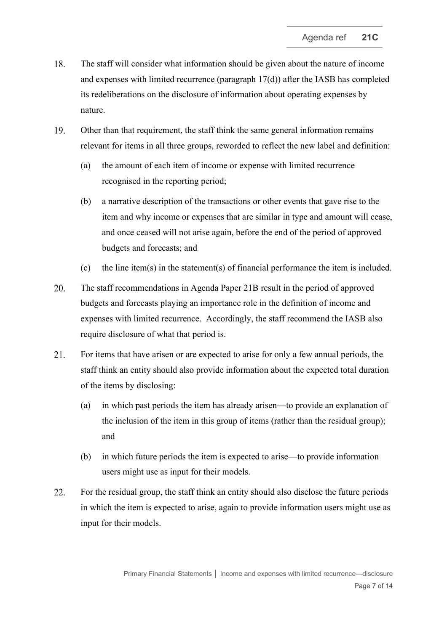- 18. The staff will consider what information should be given about the nature of income and expenses with limited recurrence (paragraph [17\(d\)\)](#page-5-2) after the IASB has completed its redeliberations on the disclosure of information about operating expenses by nature.
- 19. Other than that requirement, the staff think the same general information remains relevant for items in all three groups, reworded to reflect the new label and definition:
	- (a) the amount of each item of income or expense with limited recurrence recognised in the reporting period;
	- (b) a narrative description of the transactions or other events that gave rise to the item and why income or expenses that are similar in type and amount will cease, and once ceased will not arise again, before the end of the period of approved budgets and forecasts; and
	- (c) the line item(s) in the statement(s) of financial performance the item is included.
- 20. The staff recommendations in Agenda Paper 21B result in the period of approved budgets and forecasts playing an importance role in the definition of income and expenses with limited recurrence. Accordingly, the staff recommend the IASB also require disclosure of what that period is.
- 21. For items that have arisen or are expected to arise for only a few annual periods, the staff think an entity should also provide information about the expected total duration of the items by disclosing:
	- (a) in which past periods the item has already arisen—to provide an explanation of the inclusion of the item in this group of items (rather than the residual group); and
	- (b) in which future periods the item is expected to arise—to provide information users might use as input for their models.
- <span id="page-6-0"></span>22. For the residual group, the staff think an entity should also disclose the future periods in which the item is expected to arise, again to provide information users might use as input for their models.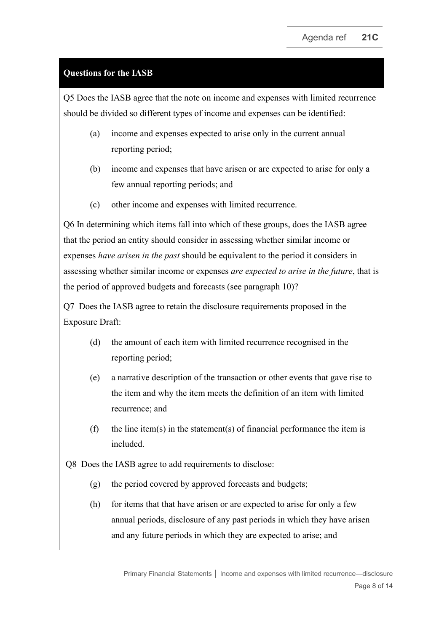### **Questions for the IASB**

Q5 Does the IASB agree that the note on income and expenses with limited recurrence should be divided so different types of income and expenses can be identified:

- (a) income and expenses expected to arise only in the current annual reporting period;
- (b) income and expenses that have arisen or are expected to arise for only a few annual reporting periods; and
- (c) other income and expenses with limited recurrence.

Q6 In determining which items fall into which of these groups, does the IASB agree that the period an entity should consider in assessing whether similar income or expenses *have arisen in the past* should be equivalent to the period it considers in assessing whether similar income or expenses *are expected to arise in the future*, that is the period of approved budgets and forecasts (see paragraph [10\)](#page-4-0)?

Q7 Does the IASB agree to retain the disclosure requirements proposed in the Exposure Draft:

- (d) the amount of each item with limited recurrence recognised in the reporting period;
- (e) a narrative description of the transaction or other events that gave rise to the item and why the item meets the definition of an item with limited recurrence; and
- (f) the line item(s) in the statement(s) of financial performance the item is included.

Q8 Does the IASB agree to add requirements to disclose:

- (g) the period covered by approved forecasts and budgets;
- (h) for items that that have arisen or are expected to arise for only a few annual periods, disclosure of any past periods in which they have arisen and any future periods in which they are expected to arise; and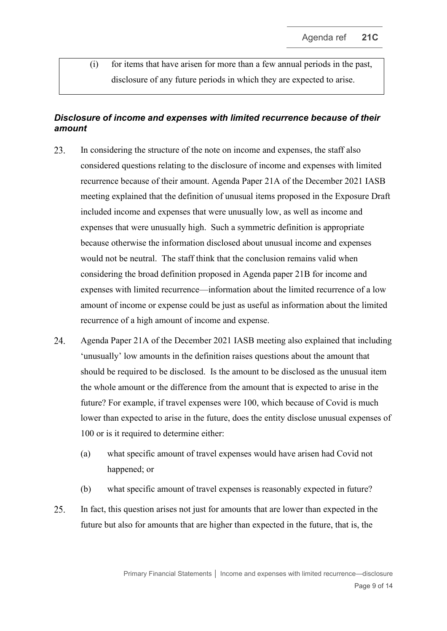(i) for items that have arisen for more than a few annual periods in the past, disclosure of any future periods in which they are expected to arise.

## *Disclosure of income and expenses with limited recurrence because of their amount*

- <span id="page-8-0"></span>23. In considering the structure of the note on income and expenses, the staff also considered questions relating to the disclosure of income and expenses with limited recurrence because of their amount. Agenda Paper 21A of the December 2021 IASB meeting explained that the definition of unusual items proposed in the Exposure Draft included income and expenses that were unusually low, as well as income and expenses that were unusually high. Such a symmetric definition is appropriate because otherwise the information disclosed about unusual income and expenses would not be neutral. The staff think that the conclusion remains valid when considering the broad definition proposed in Agenda paper 21B for income and expenses with limited recurrence—information about the limited recurrence of a low amount of income or expense could be just as useful as information about the limited recurrence of a high amount of income and expense.
- <span id="page-8-1"></span>24. Agenda Paper 21A of the December 2021 IASB meeting also explained that including 'unusually' low amounts in the definition raises questions about the amount that should be required to be disclosed. Is the amount to be disclosed as the unusual item the whole amount or the difference from the amount that is expected to arise in the future? For example, if travel expenses were 100, which because of Covid is much lower than expected to arise in the future, does the entity disclose unusual expenses of 100 or is it required to determine either:
	- (a) what specific amount of travel expenses would have arisen had Covid not happened; or
	- (b) what specific amount of travel expenses is reasonably expected in future?
- 25. In fact, this question arises not just for amounts that are lower than expected in the future but also for amounts that are higher than expected in the future, that is, the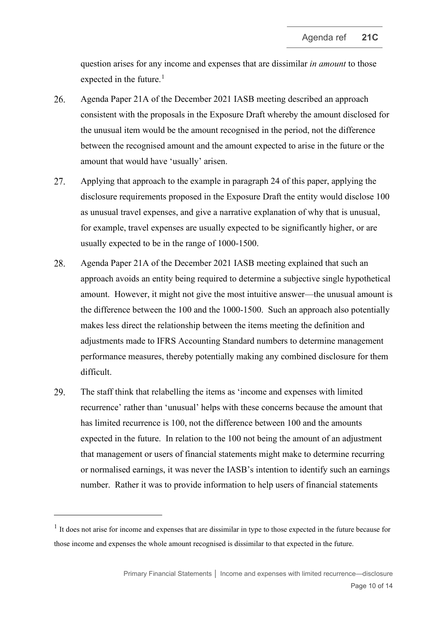question arises for any income and expenses that are dissimilar *in amount* to those expected in the future. $<sup>1</sup>$  $<sup>1</sup>$  $<sup>1</sup>$ </sup>

- 26. Agenda Paper 21A of the December 2021 IASB meeting described an approach consistent with the proposals in the Exposure Draft whereby the amount disclosed for the unusual item would be the amount recognised in the period, not the difference between the recognised amount and the amount expected to arise in the future or the amount that would have 'usually' arisen.
- 27. Applying that approach to the example in paragraph [24](#page-8-1) of this paper, applying the disclosure requirements proposed in the Exposure Draft the entity would disclose 100 as unusual travel expenses, and give a narrative explanation of why that is unusual, for example, travel expenses are usually expected to be significantly higher, or are usually expected to be in the range of 1000-1500.
- 28. Agenda Paper 21A of the December 2021 IASB meeting explained that such an approach avoids an entity being required to determine a subjective single hypothetical amount. However, it might not give the most intuitive answer—the unusual amount is the difference between the 100 and the 1000-1500. Such an approach also potentially makes less direct the relationship between the items meeting the definition and adjustments made to IFRS Accounting Standard numbers to determine management performance measures, thereby potentially making any combined disclosure for them difficult.
- <span id="page-9-1"></span>29. The staff think that relabelling the items as 'income and expenses with limited recurrence' rather than 'unusual' helps with these concerns because the amount that has limited recurrence is 100, not the difference between 100 and the amounts expected in the future. In relation to the 100 not being the amount of an adjustment that management or users of financial statements might make to determine recurring or normalised earnings, it was never the IASB's intention to identify such an earnings number. Rather it was to provide information to help users of financial statements

<span id="page-9-0"></span> $<sup>1</sup>$  It does not arise for income and expenses that are dissimilar in type to those expected in the future because for</sup> those income and expenses the whole amount recognised is dissimilar to that expected in the future.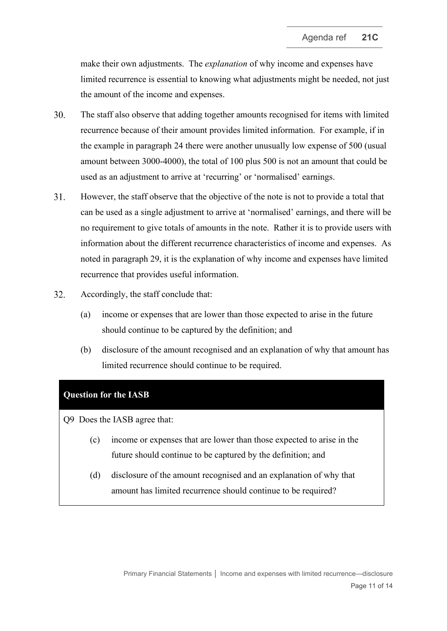make their own adjustments. The *explanation* of why income and expenses have limited recurrence is essential to knowing what adjustments might be needed, not just the amount of the income and expenses.

- 30. The staff also observe that adding together amounts recognised for items with limited recurrence because of their amount provides limited information. For example, if in the example in paragraph [24](#page-8-1) there were another unusually low expense of 500 (usual amount between 3000-4000), the total of 100 plus 500 is not an amount that could be used as an adjustment to arrive at 'recurring' or 'normalised' earnings.
- 31. However, the staff observe that the objective of the note is not to provide a total that can be used as a single adjustment to arrive at 'normalised' earnings, and there will be no requirement to give totals of amounts in the note. Rather it is to provide users with information about the different recurrence characteristics of income and expenses. As noted in paragraph [29,](#page-9-1) it is the explanation of why income and expenses have limited recurrence that provides useful information.
- <span id="page-10-0"></span>32. Accordingly, the staff conclude that:
	- (a) income or expenses that are lower than those expected to arise in the future should continue to be captured by the definition; and
	- (b) disclosure of the amount recognised and an explanation of why that amount has limited recurrence should continue to be required.

#### **Question for the IASB**

Q9 Does the IASB agree that:

- (c) income or expenses that are lower than those expected to arise in the future should continue to be captured by the definition; and
- (d) disclosure of the amount recognised and an explanation of why that amount has limited recurrence should continue to be required?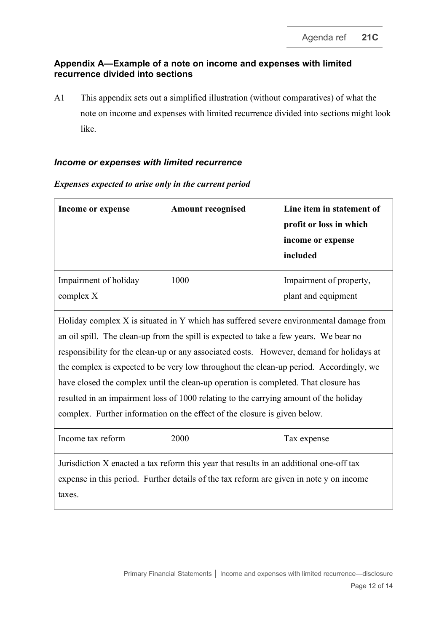### **Appendix A—Example of a note on income and expenses with limited recurrence divided into sections**

A1 This appendix sets out a simplified illustration (without comparatives) of what the note on income and expenses with limited recurrence divided into sections might look like.

#### *Income or expenses with limited recurrence*

| Income or expense                                                                                                                                                                                                                                                                                                                                                                                                                                                                                                                                                                                                                  | <b>Amount recognised</b> | Line item in statement of<br>profit or loss in which<br>income or expense<br>included |  |  |
|------------------------------------------------------------------------------------------------------------------------------------------------------------------------------------------------------------------------------------------------------------------------------------------------------------------------------------------------------------------------------------------------------------------------------------------------------------------------------------------------------------------------------------------------------------------------------------------------------------------------------------|--------------------------|---------------------------------------------------------------------------------------|--|--|
| Impairment of holiday<br>complex X                                                                                                                                                                                                                                                                                                                                                                                                                                                                                                                                                                                                 | 1000                     | Impairment of property,<br>plant and equipment                                        |  |  |
| Holiday complex X is situated in Y which has suffered severe environmental damage from<br>an oil spill. The clean-up from the spill is expected to take a few years. We bear no<br>responsibility for the clean-up or any associated costs. However, demand for holidays at<br>the complex is expected to be very low throughout the clean-up period. Accordingly, we<br>have closed the complex until the clean-up operation is completed. That closure has<br>resulted in an impairment loss of 1000 relating to the carrying amount of the holiday<br>complex. Further information on the effect of the closure is given below. |                          |                                                                                       |  |  |
| Income tax reform                                                                                                                                                                                                                                                                                                                                                                                                                                                                                                                                                                                                                  | 2000                     | Tax expense                                                                           |  |  |
| Jurisdiction X enacted a tax reform this year that results in an additional one-off tax<br>expense in this period. Further details of the tax reform are given in note y on income<br>taxes.                                                                                                                                                                                                                                                                                                                                                                                                                                       |                          |                                                                                       |  |  |

### *Expenses expected to arise only in the current period*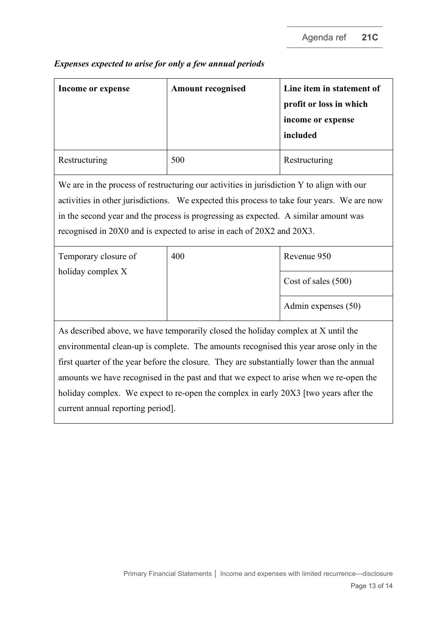| Income or expense                                                                                                                                                                                                                                                                                                                                       | <b>Amount recognised</b> | Line item in statement of<br>profit or loss in which<br>income or expense<br>included |  |  |
|---------------------------------------------------------------------------------------------------------------------------------------------------------------------------------------------------------------------------------------------------------------------------------------------------------------------------------------------------------|--------------------------|---------------------------------------------------------------------------------------|--|--|
| Restructuring                                                                                                                                                                                                                                                                                                                                           | 500                      | Restructuring                                                                         |  |  |
| We are in the process of restructuring our activities in jurisdiction Y to align with our<br>activities in other jurisdictions. We expected this process to take four years. We are now<br>in the second year and the process is progressing as expected. A similar amount was<br>recognised in 20X0 and is expected to arise in each of 20X2 and 20X3. |                          |                                                                                       |  |  |
| Temporary closure of                                                                                                                                                                                                                                                                                                                                    | 400                      | Revenue 950                                                                           |  |  |
| holiday complex X                                                                                                                                                                                                                                                                                                                                       |                          | Cost of sales (500)                                                                   |  |  |
|                                                                                                                                                                                                                                                                                                                                                         |                          | Admin expenses (50)                                                                   |  |  |
| As described above, we have temporarily closed the holiday complex at X until the                                                                                                                                                                                                                                                                       |                          |                                                                                       |  |  |
| environmental clean-up is complete. The amounts recognised this year arose only in the                                                                                                                                                                                                                                                                  |                          |                                                                                       |  |  |
| first quarter of the year before the closure. They are substantially lower than the annual                                                                                                                                                                                                                                                              |                          |                                                                                       |  |  |
| amounts we have recognised in the past and that we expect to arise when we re-open the                                                                                                                                                                                                                                                                  |                          |                                                                                       |  |  |
| holiday complex. We expect to re-open the complex in early 20X3 [two years after the                                                                                                                                                                                                                                                                    |                          |                                                                                       |  |  |

# *Expenses expected to arise for only a few annual periods*

current annual reporting period].